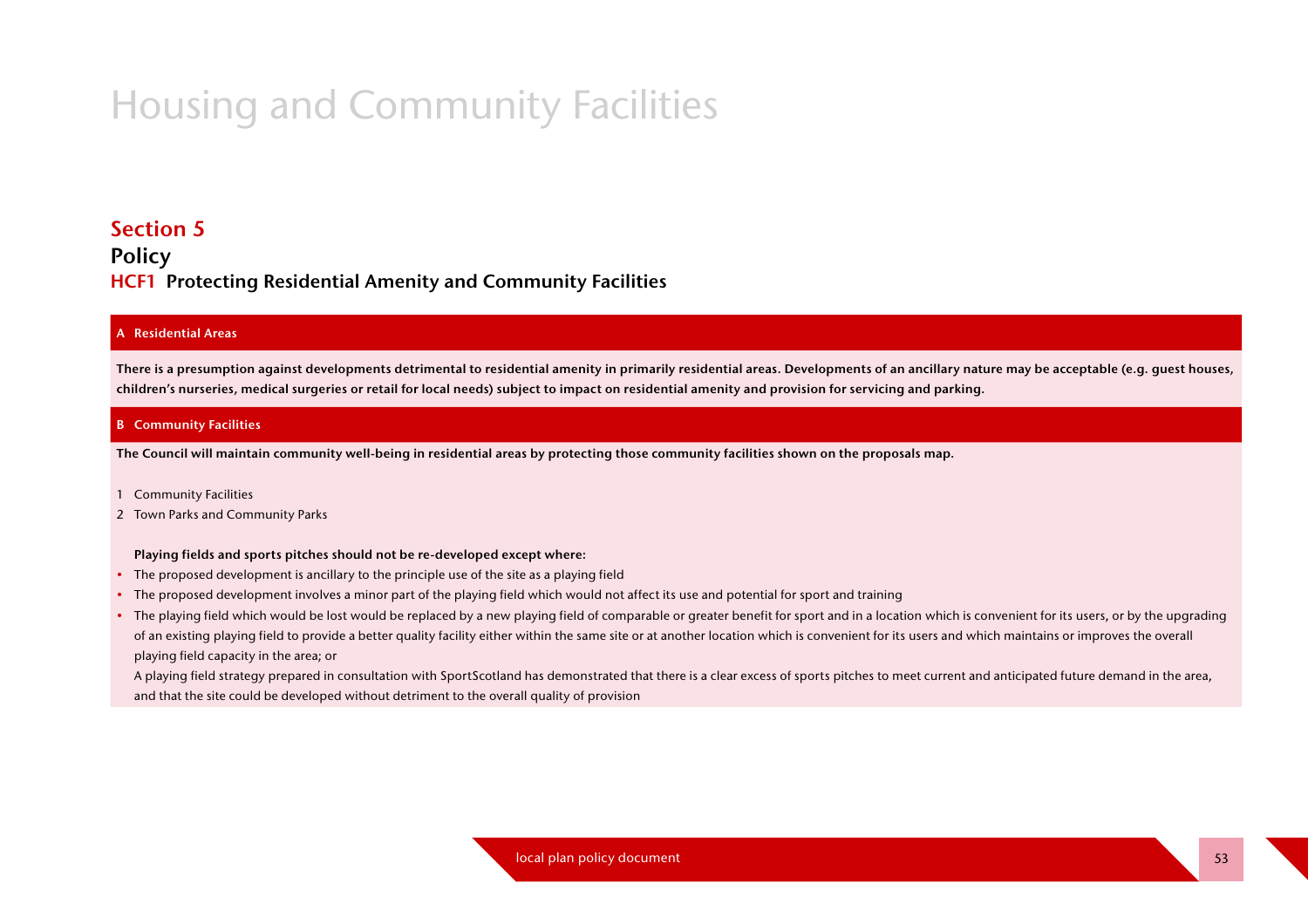# **Housing and Community Facilities**

## **Section 5**

## **Policy HCF1** Protecting Residential Amenity and Community Facilities

#### **A** Residential Areas

There is a presumption against developments detrimental to residential amenity in primarily residential areas. Developments of an ancillary nature may be acceptable (e.g. quest houses, children's nurseries, medical surgeries or retail for local needs) subject to impact on residential amenity and provision for servicing and parking.

#### **B** Community Facilities

The Council will maintain community well-being in residential areas by protecting those community facilities shown on the proposals map.

- 1 Community Facilities
- 2 Town Parks and Community Parks

#### Playing fields and sports pitches should not be re-developed except where:

- The proposed development is ancillary to the principle use of the site as a playing field
- The proposed development involves a minor part of the playing field which would not affect its use and potential for sport and training
- The playing field which would be lost would be replaced by a new playing field of comparable or greater benefit for sport and in a location which is convenient for its users, or by the upgrading of an existing playing field to provide a better quality facility either within the same site or at another location which is convenient for its users and which maintains or improves the overall playing field capacity in the area; or

A playing field strategy prepared in consultation with SportScotland has demonstrated that there is a clear excess of sports pitches to meet current and anticipated future demand in the area, and that the site could be developed without detriment to the overall quality of provision